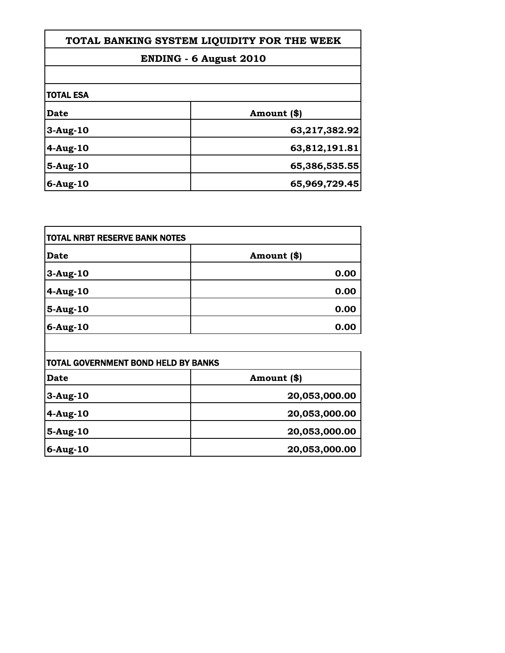| TOTAL BANKING SYSTEM LIQUIDITY FOR THE WEEK |               |
|---------------------------------------------|---------------|
| <b>ENDING - 6 August 2010</b>               |               |
|                                             |               |
| Date                                        | Amount (\$)   |
| $3-Aug-10$                                  | 63,217,382.92 |
| $4-Aug-10$                                  | 63,812,191.81 |
| $5-Aug-10$                                  | 65,386,535.55 |
| $6$ -Aug-10                                 | 65,969,729.45 |

| <b>TOTAL NRBT RESERVE BANK NOTES</b>       |               |
|--------------------------------------------|---------------|
| Date                                       | Amount (\$)   |
| $3-Aug-10$                                 | 0.00          |
| $4-Aug-10$                                 | 0.00          |
| 5-Aug-10                                   | 0.00          |
| $6$ -Aug-10                                | 0.00          |
|                                            |               |
| <b>TOTAL GOVERNMENT BOND HELD BY BANKS</b> |               |
| Date                                       | Amount (\$)   |
| $3-Aug-10$                                 | 20,053,000.00 |
|                                            |               |

| Date     | Amount (\$)   |
|----------|---------------|
| 3-Aug-10 | 20,053,000.00 |
| 4-Aug-10 | 20,053,000.00 |
| 5-Aug-10 | 20,053,000.00 |
| 6-Aug-10 | 20,053,000.00 |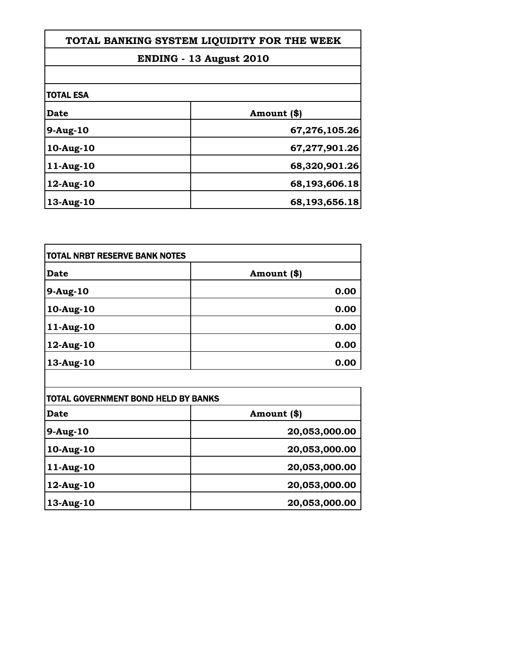| TOTAL BANKING SYSTEM LIQUIDITY FOR THE WEEK |               |
|---------------------------------------------|---------------|
| ENDING - 13 August 2010                     |               |
|                                             |               |
| <b>Date</b>                                 | Amount (\$)   |
| 9-Aug-10                                    | 67,276,105.26 |
| 10-Aug-10                                   | 67,277,901.26 |
| $11-Aug-10$                                 | 68,320,901.26 |
| 12-Aug-10                                   | 68,193,606.18 |
| 13-Aug-10                                   | 68,193,656.18 |

Г

| <b>TOTAL NRBT RESERVE BANK NOTES</b> |             |
|--------------------------------------|-------------|
| <b>Date</b>                          | Amount (\$) |
| 9-Aug-10                             | 0.00        |
| $10$ -Aug- $10$                      | 0.00        |
| 11-Aug-10                            | 0.00        |
| 12-Aug-10                            | 0.00        |
| 13-Aug-10                            | 0.00        |

| <b>TOTAL GOVERNMENT BOND HELD BY BANKS</b> |               |
|--------------------------------------------|---------------|
| Date                                       | Amount (\$)   |
| $9-Aug-10$                                 | 20,053,000.00 |
| 10-Aug-10                                  | 20,053,000.00 |
| 11-Aug-10                                  | 20,053,000.00 |
| 12-Aug-10                                  | 20,053,000.00 |
| 13-Aug-10                                  | 20,053,000.00 |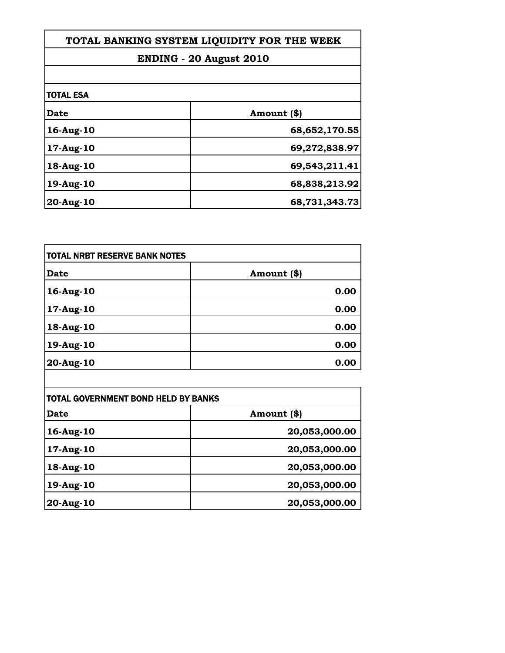| TOTAL BANKING SYSTEM LIQUIDITY FOR THE WEEK<br>ENDING - 20 August 2010 |               |                  |             |
|------------------------------------------------------------------------|---------------|------------------|-------------|
|                                                                        |               | <b>TOTAL ESA</b> |             |
|                                                                        |               | Date             | Amount (\$) |
| 16-Aug-10                                                              | 68,652,170.55 |                  |             |
| 17-Aug-10                                                              | 69,272,838.97 |                  |             |
| 18-Aug-10                                                              | 69,543,211.41 |                  |             |
| 19-Aug-10                                                              | 68,838,213.92 |                  |             |
| 20-Aug-10                                                              | 68,731,343.73 |                  |             |

| <b>TOTAL NRBT RESERVE BANK NOTES</b> |             |
|--------------------------------------|-------------|
| <b>Date</b>                          | Amount (\$) |
| 16-Aug-10                            | 0.00        |
| 17-Aug-10                            | 0.00        |
| 18-Aug-10                            | 0.00        |
| 19-Aug-10                            | 0.00        |
| 20-Aug-10                            | 0.00        |

| TOTAL GOVERNMENT BOND HELD BY BANKS |               |
|-------------------------------------|---------------|
| <b>Date</b>                         | Amount (\$)   |
| 16-Aug-10                           | 20,053,000.00 |
| 17-Aug-10                           | 20,053,000.00 |
| 18-Aug-10                           | 20,053,000.00 |
| 19-Aug-10                           | 20,053,000.00 |
| 20-Aug-10                           | 20,053,000.00 |